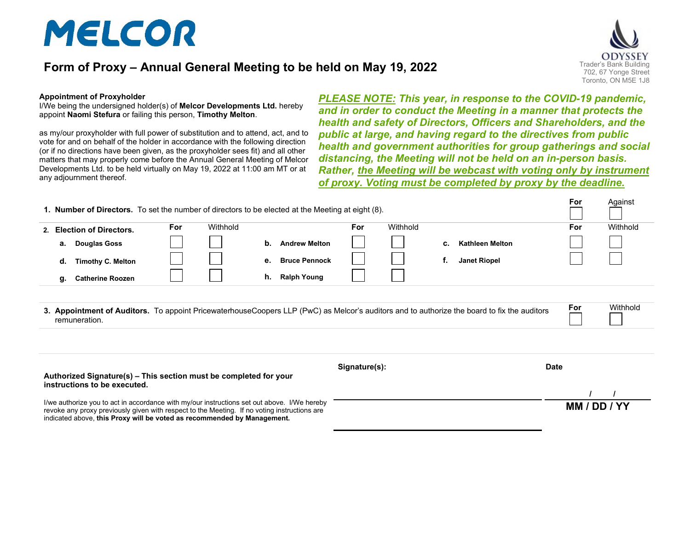# MELCOR

## **Form of Proxy – Annual General Meeting to be held on May 19, 2022** Trader's Bank Building



#### **Appointment of Proxyholder**

I/We being the undersigned holder(s) of **Melcor Developments Ltd.** hereby appoint **Naomi Stefura** or failing this person, **Timothy Melton**.

as my/our proxyholder with full power of substitution and to attend, act, and to vote for and on behalf of the holder in accordance with the following direction (or if no directions have been given, as the proxyholder sees fit) and all other matters that may properly come before the Annual General Meeting of Melcor Developments Ltd. to be held virtually on May 19, 2022 at 11:00 am MT or at any adjournment thereof.

*PLEASE NOTE: This year, in response to the COVID-19 pandemic, and in order to conduct the Meeting in a manner that protects the health and safety of Directors, Officers and Shareholders, and the public at large, and having regard to the directives from public health and government authorities for group gatherings and social distancing, the Meeting will not be held on an in-person basis. Rather, the Meeting will be webcast with voting only by instrument of proxy. Voting must be completed by proxy by the deadline.*

| <b>1. Number of Directors.</b> To set the number of directors to be elected at the Meeting at eight (8). |                          |            |          |    |                      |               |          | For | Against                                                                                                                                     |             |          |
|----------------------------------------------------------------------------------------------------------|--------------------------|------------|----------|----|----------------------|---------------|----------|-----|---------------------------------------------------------------------------------------------------------------------------------------------|-------------|----------|
| 2. Election of Directors.                                                                                |                          | <b>For</b> | Withhold |    |                      | <b>For</b>    | Withhold |     |                                                                                                                                             | For         | Withhold |
| а.                                                                                                       | <b>Douglas Goss</b>      |            |          | b. | <b>Andrew Melton</b> |               |          | c.  | <b>Kathleen Melton</b>                                                                                                                      |             |          |
| d.                                                                                                       | <b>Timothy C. Melton</b> |            |          | е. | <b>Bruce Pennock</b> |               |          | f.  | <b>Janet Riopel</b>                                                                                                                         |             |          |
| g.                                                                                                       | <b>Catherine Roozen</b>  |            |          | h. | <b>Ralph Young</b>   |               |          |     |                                                                                                                                             |             |          |
| remuneration.                                                                                            |                          |            |          |    |                      |               |          |     | 3. Appointment of Auditors. To appoint PricewaterhouseCoopers LLP (PwC) as Melcor's auditors and to authorize the board to fix the auditors | For         | Withhold |
| Authorized Signature(s) - This section must be completed for your<br>instructions to be executed.        |                          |            |          |    |                      | Signature(s): |          |     |                                                                                                                                             | <b>Date</b> |          |
| I/we authorize you to act in accordance with my/our instructions set out above. I/We hereby              |                          |            |          |    |                      |               |          |     |                                                                                                                                             |             |          |
|                                                                                                          |                          |            |          |    |                      |               |          |     |                                                                                                                                             | MM / DD     |          |